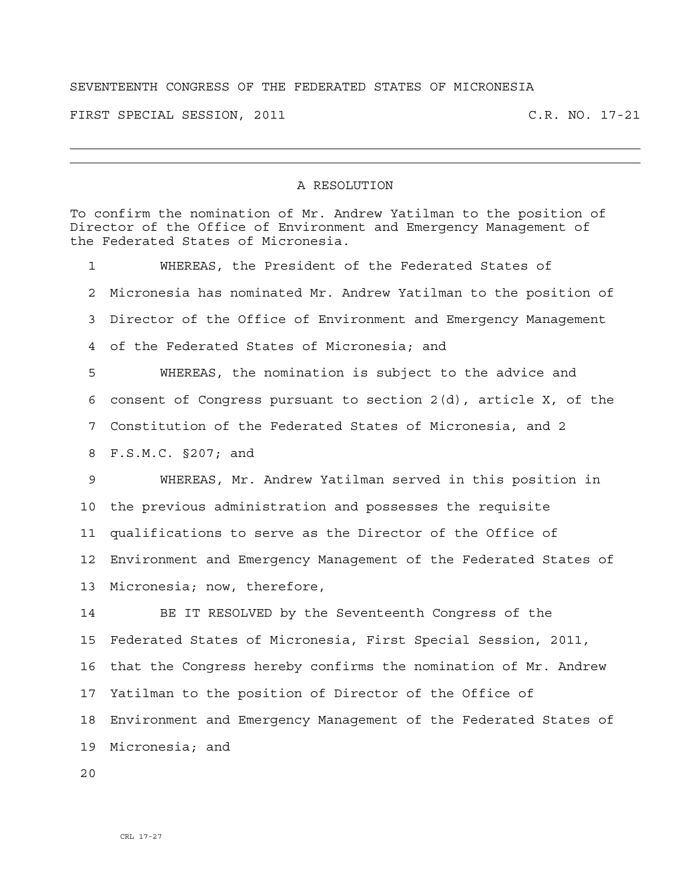## SEVENTEENTH CONGRESS OF THE FEDERATED STATES OF MICRONESIA

FIRST SPECIAL SESSION, 2011 C.R. NO. 17-21

## A RESOLUTION

To confirm the nomination of Mr. Andrew Yatilman to the position of Director of the Office of Environment and Emergency Management of the Federated States of Micronesia.

1 WHEREAS, the President of the Federated States of 2 Micronesia has nominated Mr. Andrew Yatilman to the position of 3 Director of the Office of Environment and Emergency Management 4 of the Federated States of Micronesia; and 5 WHEREAS, the nomination is subject to the advice and 6 consent of Congress pursuant to section 2(d), article X, of the 7 Constitution of the Federated States of Micronesia, and 2 8 F.S.M.C. §207; and 9 WHEREAS, Mr. Andrew Yatilman served in this position in 10 the previous administration and possesses the requisite 11 qualifications to serve as the Director of the Office of 12 Environment and Emergency Management of the Federated States of 13 Micronesia; now, therefore, 14 BE IT RESOLVED by the Seventeenth Congress of the 15 Federated States of Micronesia, First Special Session, 2011, 16 that the Congress hereby confirms the nomination of Mr. Andrew 17 Yatilman to the position of Director of the Office of 18 Environment and Emergency Management of the Federated States of 19 Micronesia; and

 $2.0$